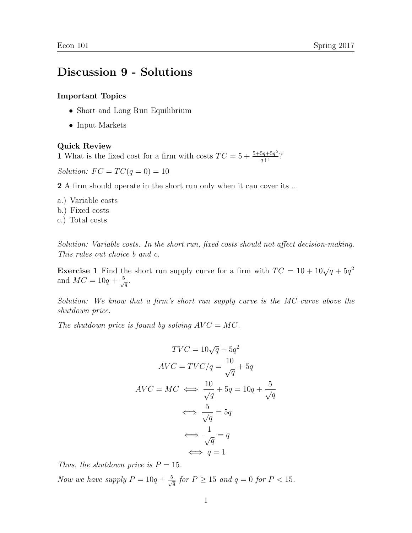## Discussion 9 - Solutions

## Important Topics

- Short and Long Run Equilibrium
- Input Markets

Quick Review

1 What is the fixed cost for a firm with costs  $TC = 5 + \frac{5+5q+5q^2}{q+1}$ ?

Solution:  $FC = TC(q = 0) = 10$ 

2 A firm should operate in the short run only when it can cover its ...

- a.) Variable costs
- b.) Fixed costs
- c.) Total costs

Solution: Variable costs. In the short run, fixed costs should not affect decision-making. This rules out choice b and c.

**Exercise 1** Find the short run supply curve for a firm with  $TC = 10 + 10\sqrt{q} + 5q^2$ and  $MC = 10q + \frac{5}{\sqrt{q}}$ .

Solution: We know that a firm's short run supply curve is the MC curve above the shutdown price.

The shutdown price is found by solving  $AVC = MC$ .

$$
TVC = 10\sqrt{q} + 5q^2
$$

$$
AVC = TVC/q = \frac{10}{\sqrt{q}} + 5q
$$

$$
AVC = MC \iff \frac{10}{\sqrt{q}} + 5q = 10q + \frac{5}{\sqrt{q}}
$$

$$
\iff \frac{5}{\sqrt{q}} = 5q
$$

$$
\iff \frac{1}{\sqrt{q}} = q
$$

$$
\iff q = 1
$$

Thus, the shutdown price is  $P = 15$ .

Now we have supply  $P = 10q + \frac{5}{\sqrt{q}}$  for  $P \ge 15$  and  $q = 0$  for  $P < 15$ .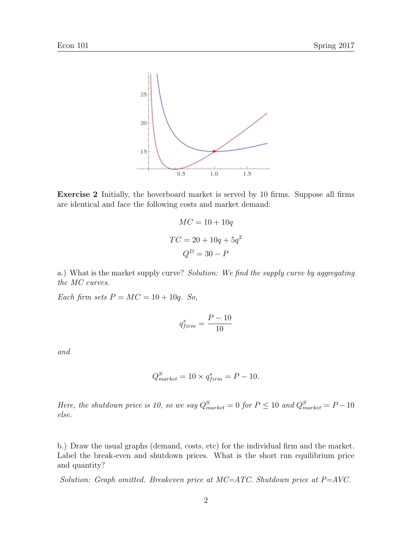

Exercise 2 Initially, the hoverboard market is served by 10 firms. Suppose all firms are identical and face the following costs and market demand:

$$
MC = 10 + 10q
$$

$$
TC = 20 + 10q + 5q^{2}
$$

$$
Q^{D} = 30 - P
$$

a.) What is the market supply curve? Solution: We find the supply curve by aggregating the MC curves.

Each firm sets  $P = MC = 10 + 10q$ . So,

$$
q_{firm}^{s} = \frac{P - 10}{10}
$$

and

$$
Q_{market}^{S} = 10 \times q_{firm}^{s} = P - 10.
$$

Here, the shutdown price is 10, so we say  $Q_{market}^{S} = 0$  for  $P \le 10$  and  $Q_{market}^{S} = P - 10$ else.

b.) Draw the usual graphs (demand, costs, etc) for the individual firm and the market. Label the break-even and shutdown prices. What is the short run equilibrium price and quantity?

Solution: Graph omitted. Breakeven price at MC=ATC. Shutdown price at P=AVC.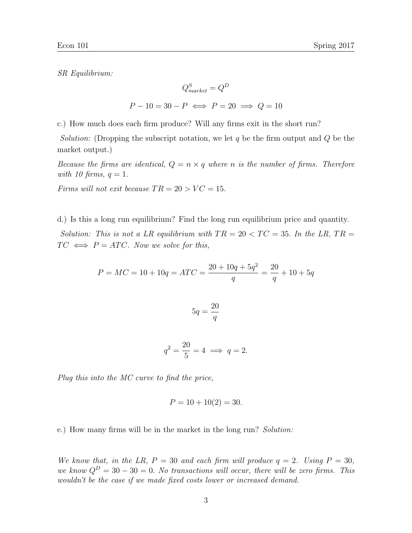SR Equilibrium:

$$
Q_{market}^{S} = Q^{D}
$$

$$
P - 10 = 30 - P \iff P = 20 \implies Q = 10
$$

c.) How much does each firm produce? Will any firms exit in the short run?

*Solution:* (Dropping the subscript notation, we let q be the firm output and  $Q$  be the market output.)

Because the firms are identical,  $Q = n \times q$  where n is the number of firms. Therefore with 10 firms,  $q = 1$ .

Firms will not exit because  $TR = 20 > VC = 15$ .

d.) Is this a long run equilibrium? Find the long run equilibrium price and quantity.

Solution: This is not a LR equilibrium with  $TR = 20 < TC = 35$ . In the LR,  $TR =$  $TC \iff P = ATC$ . Now we solve for this,

$$
P = MC = 10 + 10q = ATC = \frac{20 + 10q + 5q^{2}}{q} = \frac{20}{q} + 10 + 5q
$$

$$
5q = \frac{20}{q}
$$

$$
q^2 = \frac{20}{5} = 4 \implies q = 2.
$$

Plug this into the MC curve to find the price,

$$
P = 10 + 10(2) = 30.
$$

e.) How many firms will be in the market in the long run? Solution:

We know that, in the LR,  $P = 30$  and each firm will produce  $q = 2$ . Using  $P = 30$ , we know  $Q^D = 30 - 30 = 0$ . No transactions will occur, there will be zero firms. This wouldn't be the case if we made fixed costs lower or increased demand.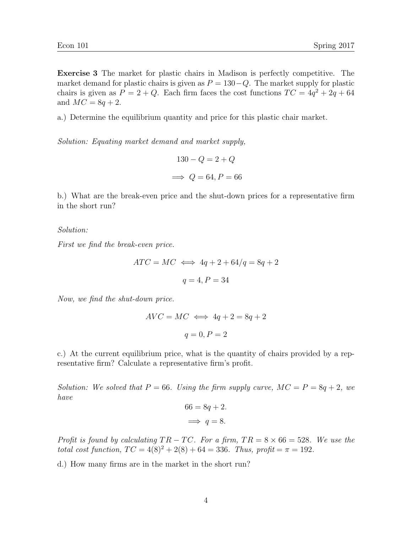Exercise 3 The market for plastic chairs in Madison is perfectly competitive. The market demand for plastic chairs is given as  $P = 130 - Q$ . The market supply for plastic chairs is given as  $P = 2 + Q$ . Each firm faces the cost functions  $TC = 4q^2 + 2q + 64$ and  $MC = 8q + 2$ .

a.) Determine the equilibrium quantity and price for this plastic chair market.

Solution: Equating market demand and market supply,

$$
130 - Q = 2 + Q
$$

$$
\implies Q = 64, P = 66
$$

b.) What are the break-even price and the shut-down prices for a representative firm in the short run?

Solution:

First we find the break-even price.

$$
ATC = MC \iff 4q + 2 + 64/q = 8q + 2
$$

$$
q = 4, P = 34
$$

Now, we find the shut-down price.

$$
AVC = MC \iff 4q + 2 = 8q + 2
$$

$$
q = 0, P = 2
$$

c.) At the current equilibrium price, what is the quantity of chairs provided by a representative firm? Calculate a representative firm's profit.

Solution: We solved that  $P = 66$ . Using the firm supply curve,  $MC = P = 8q + 2$ , we have

$$
66 = 8q + 2.
$$
  

$$
\implies q = 8.
$$

Profit is found by calculating  $TR - TC$ . For a firm,  $TR = 8 \times 66 = 528$ . We use the total cost function,  $TC = 4(8)^2 + 2(8) + 64 = 336$ . Thus, profit =  $\pi = 192$ .

d.) How many firms are in the market in the short run?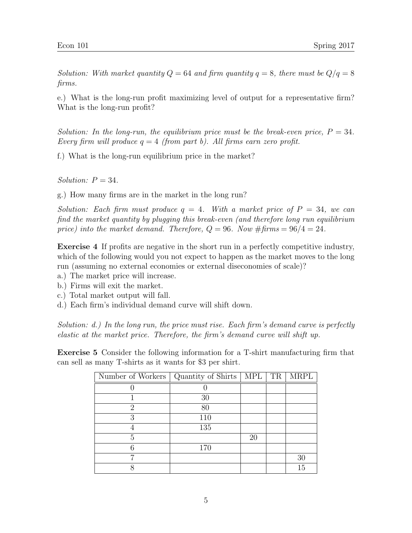Solution: With market quantity  $Q = 64$  and firm quantity  $q = 8$ , there must be  $Q/q = 8$ firms.

e.) What is the long-run profit maximizing level of output for a representative firm? What is the long-run profit?

Solution: In the long-run, the equilibrium price must be the break-even price,  $P = 34$ . Every firm will produce  $q = 4$  (from part b). All firms earn zero profit.

f.) What is the long-run equilibrium price in the market?

Solution:  $P = 34$ .

g.) How many firms are in the market in the long run?

Solution: Each firm must produce  $q = 4$ . With a market price of  $P = 34$ , we can find the market quantity by plugging this break-even (and therefore long run equilibrium price) into the market demand. Therefore,  $Q = 96$ . Now  $\# \text{ firms} = 96/4 = 24$ .

Exercise 4 If profits are negative in the short run in a perfectly competitive industry, which of the following would you not expect to happen as the market moves to the long run (assuming no external economies or external diseconomies of scale)?

- a.) The market price will increase.
- b.) Firms will exit the market.
- c.) Total market output will fall.
- d.) Each firm's individual demand curve will shift down.

Solution: d.) In the long run, the price must rise. Each firm's demand curve is perfectly elastic at the market price. Therefore, the firm's demand curve will shift up.

Exercise 5 Consider the following information for a T-shirt manufacturing firm that can sell as many T-shirts as it wants for \$3 per shirt.

| Number of Workers   Quantity of Shirts |     | $\vert$ MPL $\vert$ TR | <b>MRPL</b> |
|----------------------------------------|-----|------------------------|-------------|
|                                        |     |                        |             |
|                                        | 30  |                        |             |
| റ                                      | 80  |                        |             |
| 3                                      | 110 |                        |             |
|                                        | 135 |                        |             |
| 5                                      |     | 20                     |             |
|                                        | 170 |                        |             |
| ⇁                                      |     |                        | 30          |
|                                        |     |                        | 15          |